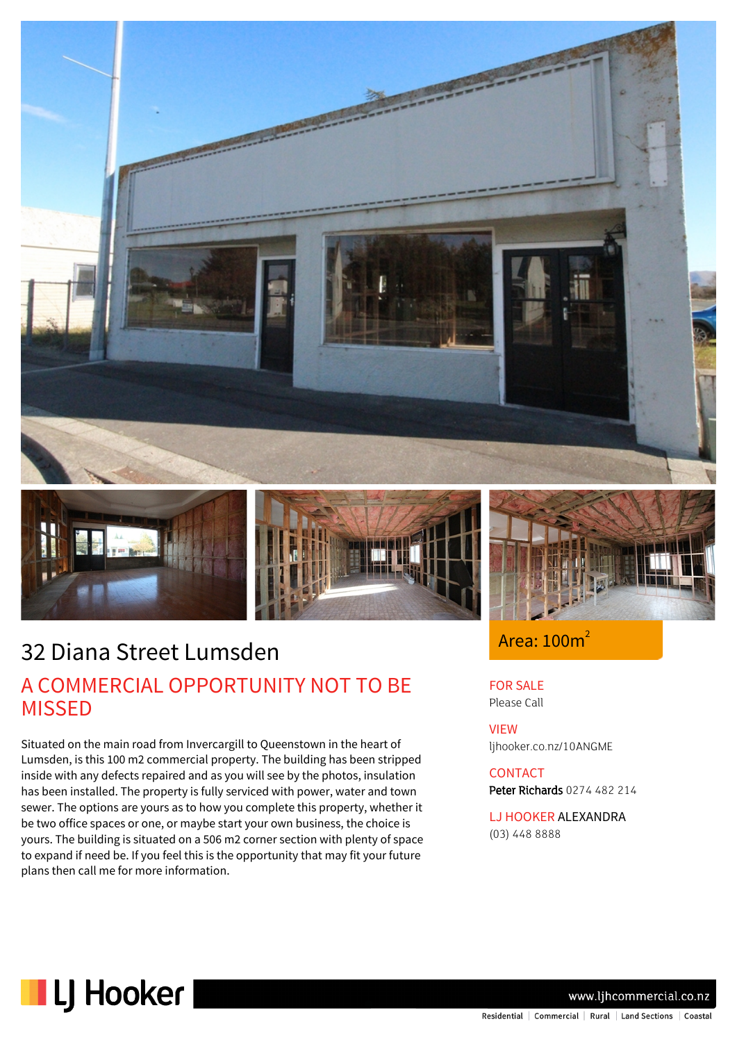







### Area:  $100m^2$

FOR SALE Please Call

VIEW ljhooker.co.nz/10ANGME

**CONTACT** Peter Richards 0274 482 214

LJ HOOKER ALEXANDRA (03) 448 8888

32 Diana Street Lumsden

# A COMMERCIAL OPPORTUNITY NOT TO BE MISSED

Situated on the main road from Invercargill to Queenstown in the heart of Lumsden, is this 100 m2 commercial property. The building has been stripped inside with any defects repaired and as you will see by the photos, insulation has been installed. The property is fully serviced with power, water and town sewer. The options are yours as to how you complete this property, whether it be two office spaces or one, or maybe start your own business, the choice is yours. The building is situated on a 506 m2 corner section with plenty of space to expand if need be. If you feel this is the opportunity that may fit your future plans then call me for more information.



www.ljhcommercial.co.nz